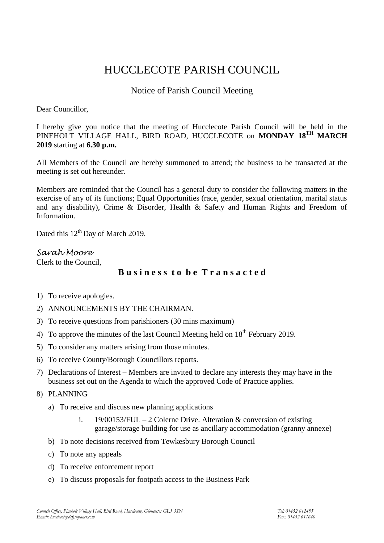# HUCCLECOTE PARISH COUNCIL

# Notice of Parish Council Meeting

Dear Councillor,

I hereby give you notice that the meeting of Hucclecote Parish Council will be held in the PINEHOLT VILLAGE HALL, BIRD ROAD, HUCCLECOTE on **MONDAY 18TH MARCH 2019** starting at **6.30 p.m.**

All Members of the Council are hereby summoned to attend; the business to be transacted at the meeting is set out hereunder.

Members are reminded that the Council has a general duty to consider the following matters in the exercise of any of its functions; Equal Opportunities (race, gender, sexual orientation, marital status and any disability), Crime & Disorder, Health & Safety and Human Rights and Freedom of Information.

Dated this 12<sup>th</sup> Day of March 2019.

## *Sarah Moore*

Clerk to the Council,

# **B u s i n e s s t o b e T r a n s a c t e d**

- 1) To receive apologies.
- 2) ANNOUNCEMENTS BY THE CHAIRMAN.
- 3) To receive questions from parishioners (30 mins maximum)
- 4) To approve the minutes of the last Council Meeting held on  $18<sup>th</sup>$  February 2019.
- 5) To consider any matters arising from those minutes.
- 6) To receive County/Borough Councillors reports.
- 7) Declarations of Interest Members are invited to declare any interests they may have in the business set out on the Agenda to which the approved Code of Practice applies.
- 8) PLANNING
	- a) To receive and discuss new planning applications
		- i. 19/00153/FUL 2 Colerne Drive. Alteration  $\&$  conversion of existing garage/storage building for use as ancillary accommodation (granny annexe)
	- b) To note decisions received from Tewkesbury Borough Council
	- c) To note any appeals
	- d) To receive enforcement report
	- e) To discuss proposals for footpath access to the Business Park